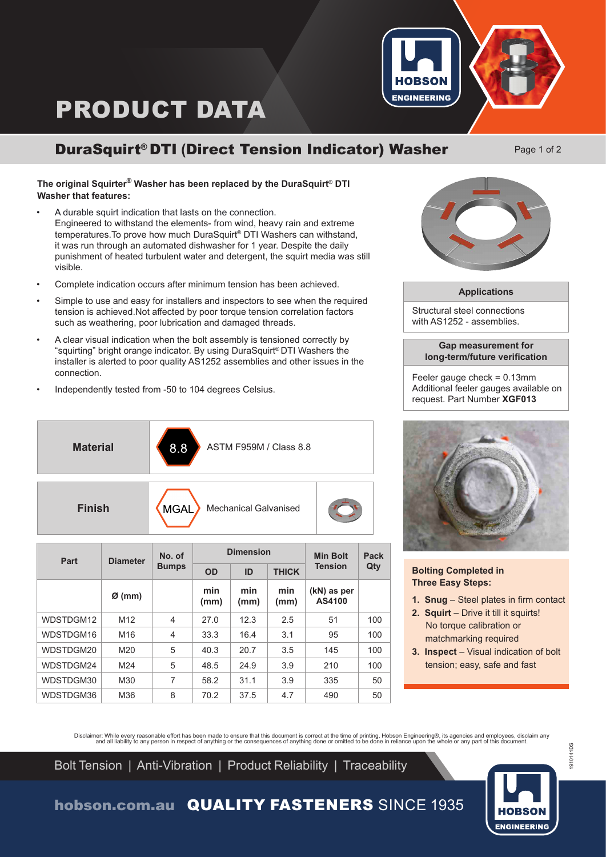# PRODUCT DATA



## DuraSquirt**®** DTI **(**Direct Tension Indicator) Washer

Page 1 of 2

### **The original Squirter® Washer has been replaced by the DuraSquirt® DTI Washer that features:**

- A durable squirt indication that lasts on the connection. Engineered to withstand the elements- from wind, heavy rain and extreme temperatures. To prove how much DuraSquirt® DTI Washers can withstand, it was run through an automated dishwasher for 1 year. Despite the daily punishment of heated turbulent water and detergent, the squirt media was still visible.
- Complete indication occurs after minimum tension has been achieved.
- Simple to use and easy for installers and inspectors to see when the required tension is achieved.Not affected by poor torque tension correlation factors such as weathering, poor lubrication and damaged threads.
- A clear visual indication when the bolt assembly is tensioned correctly by "squirting" bright orange indicator. By using DuraSquirt® DTI Washers the installer is alerted to poor quality AS1252 assemblies and other issues in the connection.
- Independently tested from -50 to 104 degrees Celsius.

| <b>Material</b> | 8.8<br>ASTM F959M / Class 8.8               |  |
|-----------------|---------------------------------------------|--|
| <b>Finish</b>   | <b>Mechanical Galvanised</b><br><b>MGAL</b> |  |

| Part      | <b>Diameter</b>    | No. of<br><b>Bumps</b> | <b>Dimension</b> |             |              | <b>Min Bolt</b>       | <b>Pack</b> |
|-----------|--------------------|------------------------|------------------|-------------|--------------|-----------------------|-------------|
|           |                    |                        | OD               | ID          | <b>THICK</b> | <b>Tension</b>        | Qty         |
|           | $\varnothing$ (mm) |                        | min<br>(mm)      | min<br>(mm) | min<br>(mm)  | (kN) as per<br>AS4100 |             |
| WDSTDGM12 | M <sub>12</sub>    | $\overline{4}$         | 27.0             | 12.3        | 2.5          | 51                    | 100         |
| WDSTDGM16 | M16                | $\overline{4}$         | 33.3             | 16.4        | 3.1          | 95                    | 100         |
| WDSTDGM20 | M20                | 5                      | 40.3             | 20.7        | 3.5          | 145                   | 100         |
| WDSTDGM24 | M24                | 5                      | 48.5             | 24.9        | 3.9          | 210                   | 100         |
| WDSTDGM30 | M30                | 7                      | 58.2             | 31.1        | 3.9          | 335                   | 50          |
| WDSTDGM36 | M36                | 8                      | 70.2             | 37.5        | 4.7          | 490                   | 50          |



#### **Applications**

Structural steel connections with AS1252 - assemblies.

#### **Gap measurement for long-term/future verification**

Feeler gauge check = 0.13mm Additional feeler gauges available on request. Part Number **XGF013**



**Bolting Completed in Three Easy Steps:**

- **1. Snug** Steel plates in firm contact
- **2. Squirt** Drive it till it squirts! No torque calibration or matchmarking required
- **3. Inspect** Visual indication of bolt tension; easy, safe and fast

Disclaimer: While every reasonable effort has been made to ensure that this document is correct at the time of printing, Hobson Engineering®, its agencies and employees, disclaim any ard effort has been made to ensure that

Bolt Tension | Anti-Vibration | Product Reliability | Traceability

**ENGINEERING** 

1910141DS

1910141DS

## hobson.com.au QUALITY FASTENERS SINCE 1935